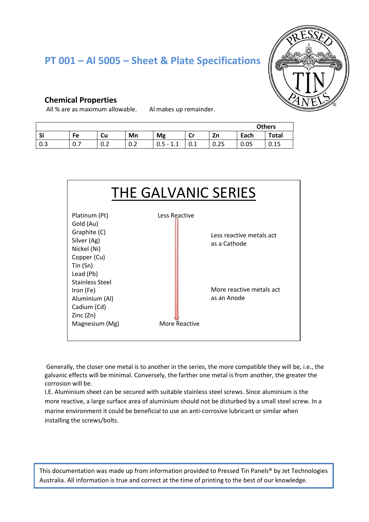# **PT 001 – Al 5005 – Sheet & Plate Specifications**



#### **Chemical Properties**

All % are as maximum allowable. Al makes up remainder.

|     |           |          |     |                                        |                |      | <b>Others</b> |              |  |  |
|-----|-----------|----------|-----|----------------------------------------|----------------|------|---------------|--------------|--|--|
| Si  | Fe        | Cu       | Mn  | Mg                                     | <b>C</b><br>יש | Zn   | Each          | <b>Total</b> |  |  |
| 0.3 | -<br>υ. Ι | ∽<br>v.z | v.z | $0.5 -$<br>$\blacksquare$<br>7 - 1.2 - | U.L            | 0.25 | 0.05          | 0.15         |  |  |



Generally, the closer one metal is to another in the series, the more compatible they will be, i.e., the galvanic effects will be minimal. Conversely, the farther one metal is from another, the greater the corrosion will be.

I.E. Aluminium sheet can be secured with suitable stainless steel screws. Since aluminium is the more reactive, a large surface area of aluminium should not be disturbed by a small steel screw. In a marine environment it could be beneficial to use an anti-corrosive lubricant or similar when installing the screws/bolts.

This documentation was made up from information provided to Pressed Tin Panels® by Jet Technologies Australia. All information is true and correct at the time of printing to the best of our knowledge.